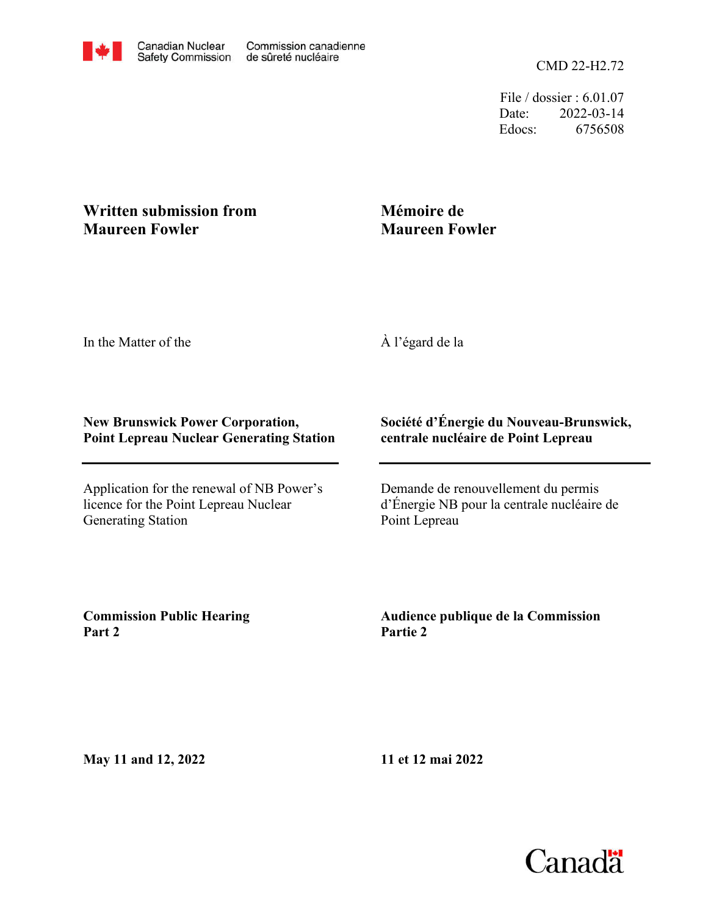CMD 22-H2.72

File / dossier : 6.01.07 Date: 2022-03-14 Edocs: 6756508

## **Written submission from Maureen Fowler**

## **Mémoire de Maureen Fowler**

In the Matter of the

À l'égard de la

## **New Brunswick Power Corporation, Point Lepreau Nuclear Generating Station**

Application for the renewal of NB Power's licence for the Point Lepreau Nuclear Generating Station

## **Société d'Énergie du Nouveau-Brunswick, centrale nucléaire de Point Lepreau**

Demande de renouvellement du permis d'Énergie NB pour la centrale nucléaire de Point Lepreau

**Commission Public Hearing Part 2**

**Audience publique de la Commission Partie 2**

**May 11 and 12, 2022**

**11 et 12 mai 2022**